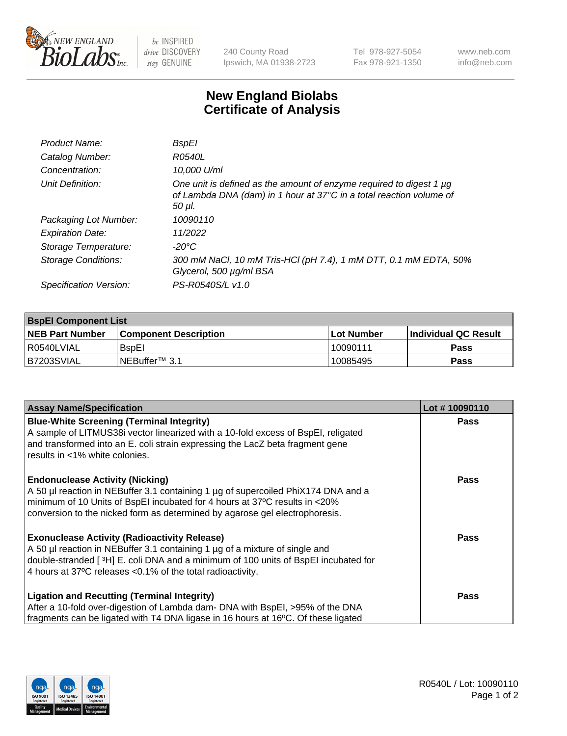

 $be$  INSPIRED drive DISCOVERY stay GENUINE

240 County Road Ipswich, MA 01938-2723 Tel 978-927-5054 Fax 978-921-1350

www.neb.com info@neb.com

## **New England Biolabs Certificate of Analysis**

| Product Name:           | BspEl                                                                                                                                                     |
|-------------------------|-----------------------------------------------------------------------------------------------------------------------------------------------------------|
| Catalog Number:         | R0540L                                                                                                                                                    |
| Concentration:          | 10.000 U/ml                                                                                                                                               |
| Unit Definition:        | One unit is defined as the amount of enzyme required to digest 1 $\mu$ g<br>of Lambda DNA (dam) in 1 hour at 37°C in a total reaction volume of<br>50 µI. |
| Packaging Lot Number:   | 10090110                                                                                                                                                  |
| <b>Expiration Date:</b> | 11/2022                                                                                                                                                   |
| Storage Temperature:    | $-20^{\circ}$ C                                                                                                                                           |
| Storage Conditions:     | 300 mM NaCl, 10 mM Tris-HCl (pH 7.4), 1 mM DTT, 0.1 mM EDTA, 50%<br>Glycerol, 500 µg/ml BSA                                                               |
| Specification Version:  | PS-R0540S/L v1.0                                                                                                                                          |

| <b>BspEl Component List</b> |                              |             |                       |  |  |
|-----------------------------|------------------------------|-------------|-----------------------|--|--|
| <b>NEB Part Number</b>      | <b>Component Description</b> | ⊺Lot Number | ∣Individual QC Result |  |  |
| R0540LVIAL                  | <b>B</b> spEI                | 10090111    | <b>Pass</b>           |  |  |
| I B7203SVIAL                | INEBuffer™ 3.1               | 10085495    | <b>Pass</b>           |  |  |

| <b>Assay Name/Specification</b>                                                    | Lot #10090110 |
|------------------------------------------------------------------------------------|---------------|
| <b>Blue-White Screening (Terminal Integrity)</b>                                   | <b>Pass</b>   |
| A sample of LITMUS38i vector linearized with a 10-fold excess of BspEI, religated  |               |
| and transformed into an E. coli strain expressing the LacZ beta fragment gene      |               |
| l results in <1% white colonies.                                                   |               |
| <b>Endonuclease Activity (Nicking)</b>                                             | Pass          |
| A 50 µl reaction in NEBuffer 3.1 containing 1 µg of supercoiled PhiX174 DNA and a  |               |
| minimum of 10 Units of BspEI incubated for 4 hours at 37°C results in <20%         |               |
| conversion to the nicked form as determined by agarose gel electrophoresis.        |               |
| <b>Exonuclease Activity (Radioactivity Release)</b>                                | Pass          |
| A 50 µl reaction in NEBuffer 3.1 containing 1 µg of a mixture of single and        |               |
| double-stranded [3H] E. coli DNA and a minimum of 100 units of BspEI incubated for |               |
| 4 hours at 37°C releases < 0.1% of the total radioactivity.                        |               |
| <b>Ligation and Recutting (Terminal Integrity)</b>                                 | <b>Pass</b>   |
| After a 10-fold over-digestion of Lambda dam- DNA with BspEI, >95% of the DNA      |               |
| fragments can be ligated with T4 DNA ligase in 16 hours at 16°C. Of these ligated  |               |